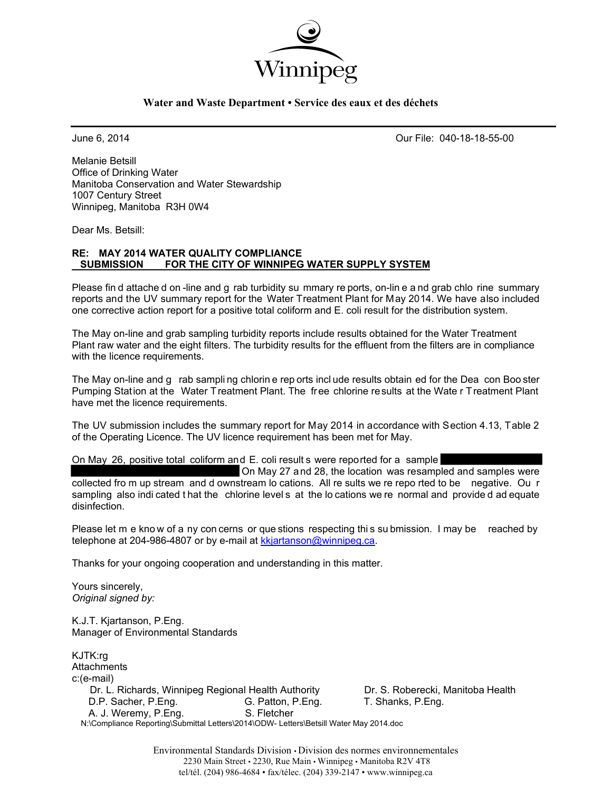

#### **Water and Waste Department • Service des eaux et des déchets**

June 6, 2014 Our File: 040-18-18-55-00

Melanie Betsill Office of Drinking Water Manitoba Conservation and Water Stewardship 1007 Century Street Winnipeg, Manitoba R3H 0W4

Dear Ms. Betsill:

### **RE: MAY 2014 WATER QUALITY COMPLIANCE SUBMISSION FOR THE CITY OF WINNIPEG WATER SUPPLY SYSTEM**

Please fin d attache d on -line and g rab turbidity su mmary re ports, on-lin e a nd grab chlo rine summary reports and the UV summary report for the Water Treatment Plant for May 2014. We have also included one corrective action report for a positive total coliform and E. coli result for the distribution system.

The May on-line and grab sampling turbidity reports include results obtained for the Water Treatment Plant raw water and the eight filters. The turbidity results for the effluent from the filters are in compliance with the licence requirements.

The May on-line and g rab sampli ng chlorin e rep orts incl ude results obtain ed for the Dea con Boo ster Pumping Station at the Water Treatment Plant. The free chlorine results at the Wate r Treatment Plant have met the licence requirements.

The UV submission includes the summary report for May 2014 in accordance with Section 4.13, Table 2 of the Operating Licence. The UV licence requirement has been met for May.

On May 26, positive total coliform and E. coli result s were reported for a sample

On May 27 and 28, the location was resampled and samples were collected fro m up stream and d ownstream lo cations. All re sults we re repo rted to be negative. Ou r sampling also indi cated t hat the chlorine level s at the lo cations we re normal and provide d ad equate disinfection.

Please let m e know of a ny con cerns or que stions respecting this su bmission. I may be reached by telephone at 204-986-4807 or by e-mail at kkjartanson@winnipeg.ca.

Thanks for your ongoing cooperation and understanding in this matter.

Yours sincerely, *Original signed by:* 

K.J.T. Kjartanson, P.Eng. Manager of Environmental Standards

KJTK:rg **Attachments** c:(e-mail) Dr. L. Richards, Winnipeg Regional Health Authority Dr. S. Roberecki, Manitoba Health D.P. Sacher, P.Eng. G. Patton, P.Eng. T. Shanks, P.Eng. A. J. Weremy, P.Eng. S. Fletcher N:\Compliance Reporting\Submittal Letters\2014\ODW- Letters\Betsill Water May 2014.doc

Environmental Standards Division • Division des normes environnementales 2230 Main Street • 2230, Rue Main • Winnipeg • Manitoba R2V 4T8 tel/tél. (204) 986-4684 • fax/télec. (204) 339-2147 • www.winnipeg.ca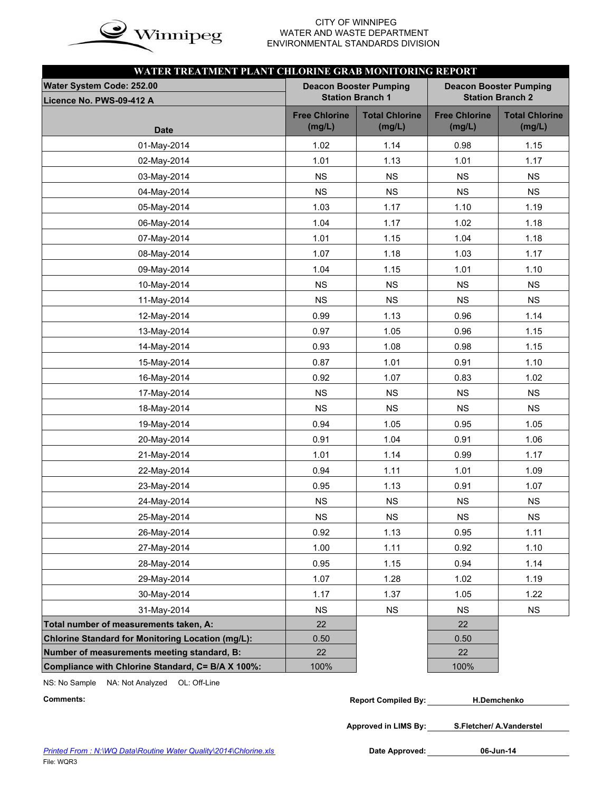

#### CITY OF WINNIPEG  $\mathbf{in}$   $\alpha$  WATER AND WASTE DEPARTMENT ENVIRONMENTAL STANDARDS DIVISION

| WATER TREATMENT PLANT CHLORINE GRAB MONITORING REPORT    |                                |                                                          |                                                          |                                 |  |  |  |  |  |  |  |  |
|----------------------------------------------------------|--------------------------------|----------------------------------------------------------|----------------------------------------------------------|---------------------------------|--|--|--|--|--|--|--|--|
| Water System Code: 252.00<br>Licence No. PWS-09-412 A    |                                | <b>Deacon Booster Pumping</b><br><b>Station Branch 1</b> | <b>Deacon Booster Pumping</b><br><b>Station Branch 2</b> |                                 |  |  |  |  |  |  |  |  |
| <b>Date</b>                                              | <b>Free Chlorine</b><br>(mg/L) | <b>Total Chlorine</b><br>(mg/L)                          | <b>Free Chlorine</b><br>(mg/L)                           | <b>Total Chlorine</b><br>(mg/L) |  |  |  |  |  |  |  |  |
| 01-May-2014                                              | 1.02                           | 1.14                                                     | 0.98                                                     | 1.15                            |  |  |  |  |  |  |  |  |
| 02-May-2014                                              | 1.01                           | 1.13                                                     | 1.01                                                     | 1.17                            |  |  |  |  |  |  |  |  |
| 03-May-2014                                              | NS                             | NS                                                       | NS                                                       | NS                              |  |  |  |  |  |  |  |  |
| 04-May-2014                                              | <b>NS</b>                      | <b>NS</b>                                                | <b>NS</b>                                                | <b>NS</b>                       |  |  |  |  |  |  |  |  |
| 05-May-2014                                              | 1.03                           | 1.17                                                     | 1.10                                                     | 1.19                            |  |  |  |  |  |  |  |  |
| 06-May-2014                                              | 1.04                           | 1.17                                                     | 1.02                                                     | 1.18                            |  |  |  |  |  |  |  |  |
| 07-May-2014                                              | 1.01                           | 1.15                                                     | 1.04                                                     | 1.18                            |  |  |  |  |  |  |  |  |
| 08-May-2014                                              | 1.07                           | 1.18                                                     | 1.03                                                     | 1.17                            |  |  |  |  |  |  |  |  |
| 09-May-2014                                              | 1.04                           | 1.15                                                     | 1.01                                                     | 1.10                            |  |  |  |  |  |  |  |  |
| 10-May-2014                                              | <b>NS</b>                      | <b>NS</b>                                                | NS                                                       | NS                              |  |  |  |  |  |  |  |  |
| 11-May-2014                                              | <b>NS</b>                      | <b>NS</b>                                                | <b>NS</b>                                                | <b>NS</b>                       |  |  |  |  |  |  |  |  |
| 12-May-2014                                              | 0.99                           | 1.13                                                     | 0.96                                                     | 1.14                            |  |  |  |  |  |  |  |  |
| 13-May-2014                                              | 0.97                           | 1.05                                                     | 0.96                                                     | 1.15                            |  |  |  |  |  |  |  |  |
| 14-May-2014                                              | 0.93                           | 1.08                                                     | 0.98                                                     | 1.15                            |  |  |  |  |  |  |  |  |
| 15-May-2014                                              | 0.87                           | 1.01                                                     | 0.91                                                     | 1.10                            |  |  |  |  |  |  |  |  |
| 16-May-2014                                              | 0.92                           | 1.07                                                     | 0.83                                                     | 1.02                            |  |  |  |  |  |  |  |  |
| 17-May-2014                                              | NS                             | NS                                                       | NS                                                       | NS                              |  |  |  |  |  |  |  |  |
| 18-May-2014                                              | <b>NS</b>                      | <b>NS</b>                                                | <b>NS</b>                                                | <b>NS</b>                       |  |  |  |  |  |  |  |  |
| 19-May-2014                                              | 0.94                           | 1.05                                                     | 0.95                                                     | 1.05                            |  |  |  |  |  |  |  |  |
| 20-May-2014                                              | 0.91                           | 1.04                                                     | 0.91                                                     | 1.06                            |  |  |  |  |  |  |  |  |
| 21-May-2014                                              | 1.01                           | 1.14                                                     | 0.99                                                     | 1.17                            |  |  |  |  |  |  |  |  |
| 22-May-2014                                              | 0.94                           | 1.11                                                     | 1.01                                                     | 1.09                            |  |  |  |  |  |  |  |  |
| 23-May-2014                                              | 0.95                           | 1.13                                                     | 0.91                                                     | 1.07                            |  |  |  |  |  |  |  |  |
| 24-May-2014                                              | NS                             | NS                                                       | NS                                                       | NS                              |  |  |  |  |  |  |  |  |
| 25-May-2014                                              | NS                             | NS                                                       | NS                                                       | <b>NS</b>                       |  |  |  |  |  |  |  |  |
| 26-May-2014                                              | 0.92                           | 1.13                                                     | 0.95                                                     | 1.11                            |  |  |  |  |  |  |  |  |
| 27-May-2014                                              | 1.00                           | 1.11                                                     | 0.92                                                     | 1.10                            |  |  |  |  |  |  |  |  |
| 28-May-2014                                              | 0.95                           | 1.15                                                     | 0.94                                                     | 1.14                            |  |  |  |  |  |  |  |  |
| 29-May-2014                                              | 1.07                           | 1.28                                                     | 1.02                                                     | 1.19                            |  |  |  |  |  |  |  |  |
| 30-May-2014                                              | 1.17                           | 1.37                                                     | 1.05                                                     | 1.22                            |  |  |  |  |  |  |  |  |
| 31-May-2014                                              | <b>NS</b>                      | <b>NS</b>                                                | <b>NS</b>                                                | <b>NS</b>                       |  |  |  |  |  |  |  |  |
| Total number of measurements taken, A:                   | 22                             |                                                          | 22                                                       |                                 |  |  |  |  |  |  |  |  |
| <b>Chlorine Standard for Monitoring Location (mg/L):</b> | 0.50                           |                                                          | 0.50                                                     |                                 |  |  |  |  |  |  |  |  |
| Number of measurements meeting standard, B:              | 22                             |                                                          | 22                                                       |                                 |  |  |  |  |  |  |  |  |
| Compliance with Chlorine Standard, C= B/A X 100%:        | 100%                           |                                                          | 100%                                                     |                                 |  |  |  |  |  |  |  |  |

NS: No Sample NA: Not Analyzed OL: Off-Line

| Comments: | <b>Report Compiled By:</b> | <b>H.Demchenko</b> |
|-----------|----------------------------|--------------------|
|-----------|----------------------------|--------------------|

**Approved in LIMS By: S.Fletcher/ A.Vanderstel**

Date Approved: 06-Jun-14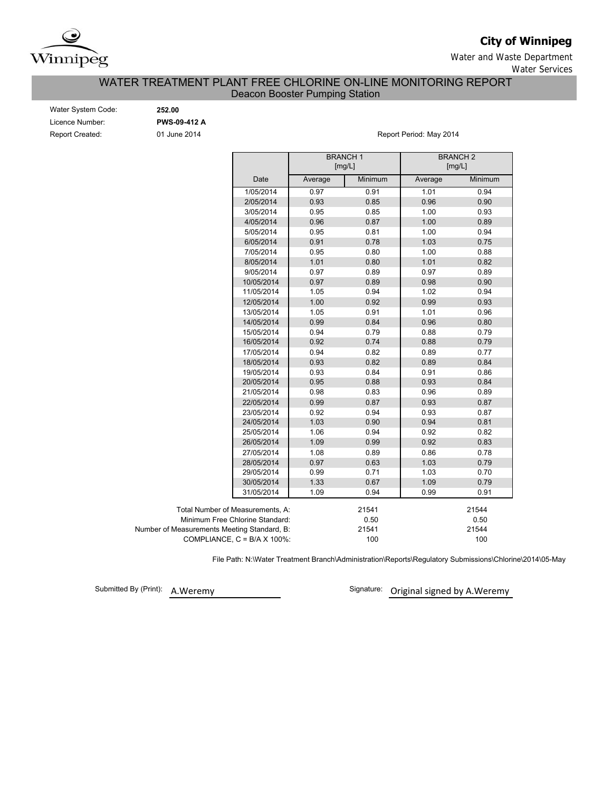

# **City of Winnipeg**

Water and Waste Department Water Services

## WATER TREATMENT PLANT FREE CHLORINE ON-LINE MONITORING REPORT Deacon Booster Pumping Station

| Water System Code: |  |
|--------------------|--|
| Licence Number:    |  |
| Report Created:    |  |

Water System Code: **252.00** Licence Number: **PWS-09-412 A**

01 June 2014 **Report Period: May 2014** 

|                                             |         | <b>BRANCH1</b><br>[mg/L] |         | <b>BRANCH2</b><br>[mg/L] |
|---------------------------------------------|---------|--------------------------|---------|--------------------------|
| Date                                        | Average | Minimum                  | Average | Minimum                  |
| 1/05/2014                                   | 0.97    | 0.91                     | 1.01    | 0.94                     |
| 2/05/2014                                   | 0.93    | 0.85                     | 0.96    | 0.90                     |
| 3/05/2014                                   | 0.95    | 0.85                     | 1.00    | 0.93                     |
| 4/05/2014                                   | 0.96    | 0.87                     | 1.00    | 0.89                     |
| 5/05/2014                                   | 0.95    | 0.81                     | 1.00    | 0.94                     |
| 6/05/2014                                   | 0.91    | 0.78                     | 1.03    | 0.75                     |
| 7/05/2014                                   | 0.95    | 0.80                     | 1.00    | 0.88                     |
| 8/05/2014                                   | 1.01    | 0.80                     | 1.01    | 0.82                     |
| 9/05/2014                                   | 0.97    | 0.89                     | 0.97    | 0.89                     |
| 10/05/2014                                  | 0.97    | 0.89                     | 0.98    | 0.90                     |
| 11/05/2014                                  | 1.05    | 0.94                     | 1.02    | 0.94                     |
| 12/05/2014                                  | 1.00    | 0.92                     | 0.99    | 0.93                     |
| 13/05/2014                                  | 1.05    | 0.91                     | 1.01    | 0.96                     |
| 14/05/2014                                  | 0.99    | 0.84                     | 0.96    | 0.80                     |
| 15/05/2014                                  | 0.94    | 0.79                     | 0.88    | 0.79                     |
| 16/05/2014                                  | 0.92    | 0.74                     | 0.88    | 0.79                     |
| 17/05/2014                                  | 0.94    | 0.82                     | 0.89    | 0.77                     |
| 18/05/2014                                  | 0.93    | 0.82                     | 0.89    | 0.84                     |
| 19/05/2014                                  | 0.93    | 0.84                     | 0.91    | 0.86                     |
| 20/05/2014                                  | 0.95    | 0.88                     | 0.93    | 0.84                     |
| 21/05/2014                                  | 0.98    | 0.83                     | 0.96    | 0.89                     |
| 22/05/2014                                  | 0.99    | 0.87                     | 0.93    | 0.87                     |
| 23/05/2014                                  | 0.92    | 0.94                     | 0.93    | 0.87                     |
| 24/05/2014                                  | 1.03    | 0.90                     | 0.94    | 0.81                     |
| 25/05/2014                                  | 1.06    | 0.94                     | 0.92    | 0.82                     |
| 26/05/2014                                  | 1.09    | 0.99                     | 0.92    | 0.83                     |
| 27/05/2014                                  | 1.08    | 0.89                     | 0.86    | 0.78                     |
| 28/05/2014                                  | 0.97    | 0.63                     | 1.03    | 0.79                     |
| 29/05/2014                                  | 0.99    | 0.71                     | 1.03    | 0.70                     |
| 30/05/2014                                  | 1.33    | 0.67                     | 1.09    | 0.79                     |
| 31/05/2014                                  | 1.09    | 0.94                     | 0.99    | 0.91                     |
| Total Number of Measurements, A:            |         | 21541                    |         | 21544                    |
| Minimum Free Chlorine Standard:             |         | 0.50                     |         | 0.50                     |
| Number of Measurements Meeting Standard, B: |         | 21541                    |         | 21544                    |
| COMPLIANCE, C = B/A X 100%:                 |         | 100                      |         | 100                      |

File Path: N:\Water Treatment Branch\Administration\Reports\Regulatory Submissions\Chlorine\2014\05-May

Submitted By (Print): A.Weremy

Signature: Original signed by A.Weremy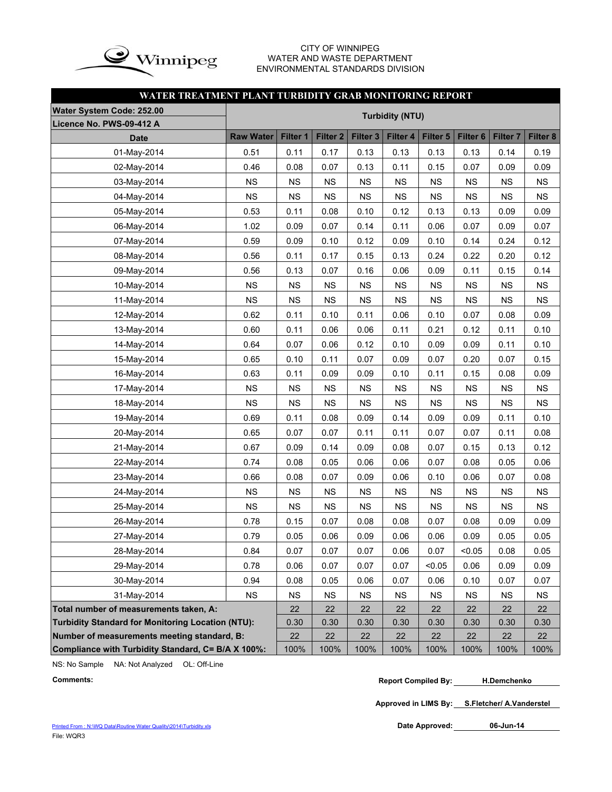

#### CITY OF WINNIPEG WATER AND WASTE DEPARTMENT ENVIRONMENTAL STANDARDS DIVISION

## **WATER TREATMENT PLANT TURBIDITY GRAB MONITORING REPORT**

| Water System Code: 252.00                          | <b>Turbidity (NTU)</b>                            |           |                     |           |           |           |                     |                     |           |  |
|----------------------------------------------------|---------------------------------------------------|-----------|---------------------|-----------|-----------|-----------|---------------------|---------------------|-----------|--|
| Licence No. PWS-09-412 A                           |                                                   |           |                     |           |           |           |                     |                     |           |  |
| <b>Date</b>                                        | <b>Raw Water</b>                                  | Filter 1  | Filter <sub>2</sub> | Filter 3  | Filter 4  | Filter 5  | Filter <sub>6</sub> | Filter <sub>7</sub> | Filter 8  |  |
| 01-May-2014                                        | 0.51                                              | 0.11      | 0.17                | 0.13      | 0.13      | 0.13      | 0.13                | 0.14                | 0.19      |  |
| 02-May-2014                                        | 0.46                                              | 0.08      | 0.07                | 0.13      | 0.11      | 0.15      | 0.07                | 0.09                | 0.09      |  |
| 03-May-2014                                        | <b>NS</b>                                         | <b>NS</b> | <b>NS</b>           | <b>NS</b> | <b>NS</b> | <b>NS</b> | <b>NS</b>           | <b>NS</b>           | <b>NS</b> |  |
| 04-May-2014                                        | <b>NS</b>                                         | <b>NS</b> | NS                  | <b>NS</b> | NS        | <b>NS</b> | <b>NS</b>           | <b>NS</b>           | <b>NS</b> |  |
| 05-May-2014                                        | 0.53                                              | 0.11      | 0.08                | 0.10      | 0.12      | 0.13      | 0.13                | 0.09                | 0.09      |  |
| 06-May-2014                                        | 1.02                                              | 0.09      | 0.07                | 0.14      | 0.11      | 0.06      | 0.07                | 0.09                | 0.07      |  |
| 07-May-2014                                        | 0.59                                              | 0.09      | 0.10                | 0.12      | 0.09      | 0.10      | 0.14                | 0.24                | 0.12      |  |
| 08-May-2014                                        | 0.56                                              | 0.11      | 0.17                | 0.15      | 0.13      | 0.24      | 0.22                | 0.20                | 0.12      |  |
| 09-May-2014                                        | 0.56                                              | 0.13      | 0.07                | 0.16      | 0.06      | 0.09      | 0.11                | 0.15                | 0.14      |  |
| 10-May-2014                                        | <b>NS</b>                                         | <b>NS</b> | <b>NS</b>           | <b>NS</b> | <b>NS</b> | <b>NS</b> | <b>NS</b>           | <b>NS</b>           | <b>NS</b> |  |
| 11-May-2014                                        | <b>NS</b>                                         | <b>NS</b> | <b>NS</b>           | <b>NS</b> | <b>NS</b> | <b>NS</b> | <b>NS</b>           | <b>NS</b>           | <b>NS</b> |  |
| 12-May-2014                                        | 0.62                                              | 0.11      | 0.10                | 0.11      | 0.06      | 0.10      | 0.07                | 0.08                | 0.09      |  |
| 13-May-2014                                        | 0.60                                              | 0.11      | 0.06                | 0.06      | 0.11      | 0.21      | 0.12                | 0.11                | 0.10      |  |
| 14-May-2014                                        | 0.64                                              | 0.07      | 0.06                | 0.12      | 0.10      | 0.09      | 0.09                | 0.11                | 0.10      |  |
| 15-May-2014                                        | 0.65                                              | 0.10      | 0.11                | 0.07      | 0.09      | 0.07      | 0.20                | 0.07                | 0.15      |  |
| 16-May-2014                                        | 0.63                                              | 0.11      | 0.09                | 0.09      | 0.10      | 0.11      | 0.15                | 0.08                | 0.09      |  |
| 17-May-2014                                        | <b>NS</b>                                         | <b>NS</b> | <b>NS</b>           | <b>NS</b> | <b>NS</b> | <b>NS</b> | <b>NS</b>           | <b>NS</b>           | <b>NS</b> |  |
| 18-May-2014                                        | <b>NS</b>                                         | <b>NS</b> | <b>NS</b>           | <b>NS</b> | <b>NS</b> | <b>NS</b> | <b>NS</b>           | <b>NS</b>           | <b>NS</b> |  |
| 19-May-2014                                        | 0.69                                              | 0.11      | 0.08                | 0.09      | 0.14      | 0.09      | 0.09                | 0.11                | 0.10      |  |
| 20-May-2014                                        | 0.65                                              | 0.07      | 0.07                | 0.11      | 0.11      | 0.07      | 0.07                | 0.11                | 0.08      |  |
| 21-May-2014                                        | 0.67                                              | 0.09      | 0.14                | 0.09      | 0.08      | 0.07      | 0.15                | 0.13                | 0.12      |  |
| 22-May-2014                                        | 0.74                                              | 0.08      | 0.05                | 0.06      | 0.06      | 0.07      | 0.08                | 0.05                | 0.06      |  |
| 23-May-2014                                        | 0.66                                              | 0.08      | 0.07                | 0.09      | 0.06      | 0.10      | 0.06                | 0.07                | 0.08      |  |
| 24-May-2014                                        | <b>NS</b>                                         | NS        | NS                  | <b>NS</b> | <b>NS</b> | <b>NS</b> | <b>NS</b>           | <b>NS</b>           | <b>NS</b> |  |
| 25-May-2014                                        | <b>NS</b>                                         | <b>NS</b> | <b>NS</b>           | <b>NS</b> | <b>NS</b> | <b>NS</b> | <b>NS</b>           | <b>NS</b>           | <b>NS</b> |  |
| 26-May-2014                                        | 0.78                                              | 0.15      | 0.07                | 0.08      | 0.08      | 0.07      | 0.08                | 0.09                | 0.09      |  |
| 27-May-2014                                        | 0.79                                              | 0.05      | 0.06                | 0.09      | 0.06      | 0.06      | 0.09                | 0.05                | 0.05      |  |
| 28-May-2014                                        | 0.84                                              | 0.07      | 0.07                | 0.07      | 0.06      | 0.07      | < 0.05              | 0.08                | 0.05      |  |
| 29-May-2014                                        | 0.78                                              | 0.06      | 0.07                | 0.07      | 0.07      | < 0.05    | 0.06                | 0.09                | 0.09      |  |
| 30-May-2014                                        | 0.94                                              | 0.08      | 0.05                | 0.06      | 0.07      | 0.06      | 0.10                | 0.07                | 0.07      |  |
| 31-May-2014                                        | <b>NS</b>                                         | <b>NS</b> | <b>NS</b>           | <b>NS</b> | <b>NS</b> | <b>NS</b> | <b>NS</b>           | <b>NS</b>           | <b>NS</b> |  |
| Total number of measurements taken, A:             |                                                   | 22        | 22                  | 22        | 22        | 22        | 22                  | 22                  | 22        |  |
|                                                    | Turbidity Standard for Monitoring Location (NTU): |           |                     |           | 0.30      | 0.30      | 0.30                | 0.30                | 0.30      |  |
| Number of measurements meeting standard, B:        |                                                   | 22        | 22                  | 22        | 22        | 22        | 22                  | 22                  | 22        |  |
| Compliance with Turbidity Standard, C= B/A X 100%: |                                                   | 100%      | 100%                | 100%      | 100%      | 100%      | 100%                | 100%                | 100%      |  |

NS: No Sample NA: Not Analyzed OL: Off-Line

```
Comments: Report Compiled By:
H.Demchenko
```
**Approved in LIMS By: S.Fletcher/ A.Vanderstel**

Date Approved: 06-Jun-14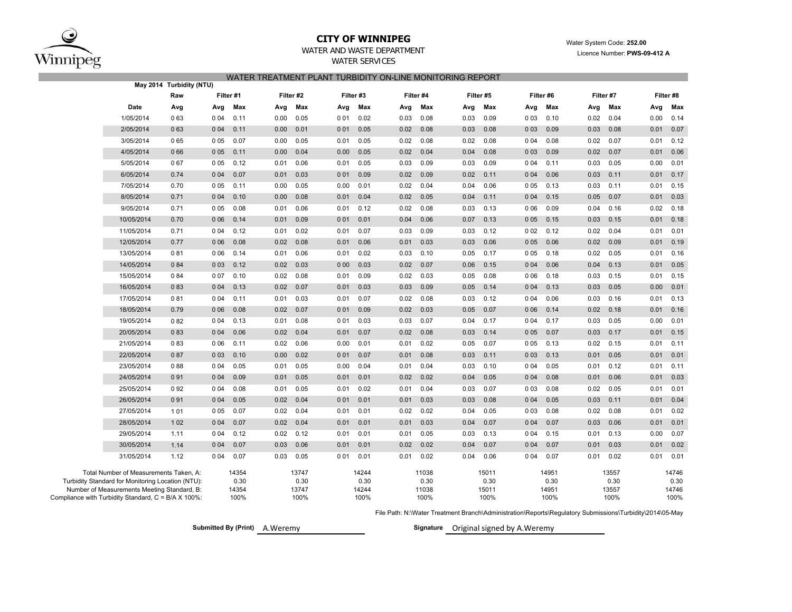

#### **CITY OF WINNIPEG**WATER AND WASTE DEPARTMENT

# WATER TREATMENT PLANT TURBIDITY ON-LINE MONITORING REPORTWATER SERVICES

|                                                                                                  | May 2014 Turbidity (NTU) |       |               |      |               |           |               |      |               |      |               |       |               |      |               |      |               |
|--------------------------------------------------------------------------------------------------|--------------------------|-------|---------------|------|---------------|-----------|---------------|------|---------------|------|---------------|-------|---------------|------|---------------|------|---------------|
|                                                                                                  | Raw                      |       | Filter #1     |      | Filter #2     | Filter #3 |               |      | Filter #4     |      | Filter #5     |       | Filter #6     |      | Filter #7     |      | Filter #8     |
| Date                                                                                             | Avg                      | Avg   | Max           | Avg  | Max           | Avg       | Max           | Avg  | Max           | Avg  | Max           | Avg   | Max           | Avg  | Max           | Avg  | Max           |
| 1/05/2014                                                                                        | 063                      | 0 0 4 | 0.11          | 0.00 | 0.05          | 001       | 0.02          | 0.03 | 0.08          | 0.03 | 0.09          | 0 0 3 | 0.10          | 0.02 | 0.04          | 0.00 | 0.14          |
| 2/05/2014                                                                                        | 063                      | 004   | 0.11          | 0.00 | 0.01          | 001       | 0.05          | 0.02 | 0.08          | 0.03 | 0.08          | 003   | 0.09          | 0.03 | 0.08          | 0.01 | 0.07          |
| 3/05/2014                                                                                        | 065                      | 0 0 5 | 0.07          | 0.00 | 0.05          | 0.01      | 0.05          | 0.02 | 0.08          | 0.02 | 0.08          | 004   | 0.08          | 0.02 | 0.07          | 0.01 | 0.12          |
| 4/05/2014                                                                                        | 066                      | 0 0 5 | 0.11          | 0.00 | 0.04          | 0.00      | 0.05          | 0.02 | 0.04          | 0.04 | 0.08          | 0 0 3 | 0.09          | 0.02 | 0.07          | 0.01 | 0.06          |
| 5/05/2014                                                                                        | 067                      | 0 0 5 | 0.12          | 0.01 | 0.06          | 0.01      | 0.05          | 0.03 | 0.09          | 0.03 | 0.09          | 004   | 0.11          | 0.03 | 0.05          | 0.00 | 0.01          |
| 6/05/2014                                                                                        | 0.74                     | 0 0 4 | 0.07          | 0.01 | 0.03          | 001       | 0.09          | 0.02 | 0.09          | 0.02 | 0.11          | 004   | 0.06          | 0.03 | 0.11          | 0.01 | 0.17          |
| 7/05/2014                                                                                        | 0.70                     | 0 0 5 | 0.11          | 0.00 | 0.05          | 0.00      | 0.01          | 0.02 | 0.04          | 0.04 | 0.06          | 0 0 5 | 0.13          | 0.03 | 0.11          | 0.01 | 0.15          |
| 8/05/2014                                                                                        | 0.71                     | 004   | 0.10          | 0.00 | 0.08          | 0.01      | 0.04          | 0.02 | 0.05          | 0.04 | 0.11          | 004   | 0.15          | 0.05 | 0.07          | 0.01 | 0.03          |
| 9/05/2014                                                                                        | 0.71                     | 0 0 5 | 0.08          | 0.01 | 0.06          | 0.01      | 0.12          | 0.02 | 0.08          | 0.03 | 0.13          | 006   | 0.09          | 0.04 | 0.16          | 0.02 | 0.18          |
| 10/05/2014                                                                                       | 0.70                     | 006   | 0.14          | 0.01 | 0.09          | 001       | 0.01          | 0.04 | 0.06          | 0.07 | 0.13          | 0 0 5 | 0.15          | 0.03 | 0.15          | 0.01 | 0.18          |
| 11/05/2014                                                                                       | 0.71                     | 0 0 4 | 0.12          | 0.01 | 0.02          | 0.01      | 0.07          | 0.03 | 0.09          | 0.03 | 0.12          | 002   | 0.12          | 0.02 | 0.04          | 0.01 | 0.01          |
| 12/05/2014                                                                                       | 0.77                     | 006   | 0.08          | 0.02 | 0.08          | 0.01      | 0.06          | 0.01 | 0.03          | 0.03 | 0.06          | 0 0 5 | 0.06          | 0.02 | 0.09          | 0.01 | 0.19          |
| 13/05/2014                                                                                       | 081                      | 006   | 0.14          | 0.01 | 0.06          | 0.01      | 0.02          | 0.03 | 0.10          | 0.05 | 0.17          | 0 0 5 | 0.18          | 0.02 | 0.05          | 0.01 | 0.16          |
| 14/05/2014                                                                                       | 084                      | 0 0 3 | 0.12          | 0.02 | 0.03          | 000       | 0.03          | 0.02 | 0.07          | 0.06 | 0.15          | 004   | 0.06          | 0.04 | 0.13          | 0.01 | 0.05          |
| 15/05/2014                                                                                       | 084                      | 007   | 0.10          | 0.02 | 0.08          | 0.01      | 0.09          | 0.02 | 0.03          | 0.05 | 0.08          | 0 0 6 | 0.18          | 0.03 | 0.15          | 0.01 | 0.15          |
| 16/05/2014                                                                                       | 083                      | 004   | 0.13          | 0.02 | 0.07          | 0.01      | 0.03          | 0.03 | 0.09          | 0.05 | 0.14          | 004   | 0.13          | 0.03 | 0.05          | 0.00 | 0.01          |
| 17/05/2014                                                                                       | 081                      | 004   | 0.11          | 0.01 | 0.03          | 0.01      | 0.07          | 0.02 | 0.08          | 0.03 | 0.12          | 0 0 4 | 0.06          | 0.03 | 0.16          | 0.01 | 0.13          |
| 18/05/2014                                                                                       | 0.79                     | 0 0 6 | 0.08          | 0.02 | 0.07          | 001       | 0.09          | 0.02 | 0.03          | 0.05 | 0.07          | 006   | 0.14          | 0.02 | 0.18          | 0.01 | 0.16          |
| 19/05/2014                                                                                       | 082                      | 004   | 0.13          | 0.01 | 0.08          | 001       | 0.03          | 0.03 | 0.07          | 0.04 | 0.17          | 0 0 4 | 0.17          | 0.03 | 0.05          | 0.00 | 0.01          |
| 20/05/2014                                                                                       | 083                      | 004   | 0.06          | 0.02 | 0.04          | 0.01      | 0.07          | 0.02 | 0.08          | 0.03 | 0.14          | 0 0 5 | 0.07          | 0.03 | 0.17          | 0.01 | 0.15          |
| 21/05/2014                                                                                       | 083                      | 0 0 6 | 0.11          | 0.02 | 0.06          | 0.00      | 0.01          | 0.01 | 0.02          | 0.05 | 0.07          | 005   | 0.13          | 0.02 | 0.15          | 0.01 | 0.11          |
| 22/05/2014                                                                                       | 087                      | 0 0 3 | 0.10          | 0.00 | 0.02          | 001       | 0.07          | 0.01 | 0.08          | 0.03 | 0.11          | 0 0 3 | 0.13          | 0.01 | 0.05          | 0.01 | 0.01          |
| 23/05/2014                                                                                       | 088                      | 0 0 4 | 0.05          | 0.01 | 0.05          | 0.00      | 0.04          | 0.01 | 0.04          | 0.03 | 0.10          | 0 0 4 | 0.05          | 0.01 | 0.12          | 0.01 | 0.11          |
| 24/05/2014                                                                                       | 091                      | 004   | 0.09          | 0.01 | 0.05          | 0.01      | 0.01          | 0.02 | 0.02          | 0.04 | 0.05          | 0 0 4 | 0.08          | 0.01 | 0.06          | 0.01 | 0.03          |
| 25/05/2014                                                                                       | 092                      | 004   | 0.08          | 0.01 | 0.05          | 0.01      | 0.02          | 0.01 | 0.04          | 0.03 | 0.07          | 0 0 3 | 0.08          | 0.02 | 0.05          | 0.01 | 0.01          |
| 26/05/2014                                                                                       | 091                      | 004   | 0.05          | 0.02 | 0.04          | 001       | 0.01          | 0.01 | 0.03          | 0.03 | 0.08          | 004   | 0.05          | 0.03 | 0.11          | 0.01 | 0.04          |
| 27/05/2014                                                                                       | 1 0 1                    | 005   | 0.07          | 0.02 | 0.04          | 0.01      | 0.01          | 0.02 | 0.02          | 0.04 | 0.05          | 0 0 3 | 0.08          | 0.02 | 0.08          | 0.01 | 0.02          |
| 28/05/2014                                                                                       | 1 0 2                    | 004   | 0.07          | 0.02 | 0.04          | 0.01      | 0.01          | 0.01 | 0.03          | 0.04 | 0.07          | 004   | 0.07          | 0.03 | 0.06          | 0.01 | 0.01          |
| 29/05/2014                                                                                       | 1.11                     | 004   | 0.12          | 0.02 | 0.12          | 0.01      | 0.01          | 0.01 | 0.05          | 0.03 | 0.13          | 004   | 0.15          | 0.01 | 0.13          | 0.00 | 0.07          |
| 30/05/2014                                                                                       | 1.14                     | 004   | 0.07          | 0.03 | 0.06          | 0.01      | 0.01          | 0.02 | 0.02          | 0.04 | 0.07          | 004   | 0.07          | 0.01 | 0.03          | 0.01 | 0.02          |
| 31/05/2014                                                                                       | 1.12                     | 0 0 4 | 0.07          | 0.03 | 0.05          | 001       | 0.01          | 0.01 | 0.02          | 0.04 | 0.06          | 004   | 0.07          | 0.01 | 0.02          | 0.01 | 0.01          |
| Total Number of Measurements Taken, A:                                                           |                          |       | 14354         |      | 13747         |           | 14244         |      | 11038         |      | 15011         |       | 14951         |      | 13557         |      | 14746         |
| Turbidity Standard for Monitoring Location (NTU):<br>Number of Measurements Meeting Standard, B: |                          |       | 0.30<br>14354 |      | 0.30<br>13747 |           | 0.30<br>14244 |      | 0.30<br>11038 |      | 0.30<br>15011 |       | 0.30<br>14951 |      | 0.30<br>13557 |      | 0.30<br>14746 |
| Compliance with Turbidity Standard, C = B/A X 100%:                                              |                          |       | 100%          |      | 100%          |           | 100%          |      | 100%          |      | 100%          |       | 100%          |      | 100%          |      | 100%          |

File Path: N:\Water Treatment Branch\Administration\Reports\Regulatory Submissions\Turbidity\2014\05-May

**Submitted By (Print)** A. Weremy

Signature Original signed by A.Weremy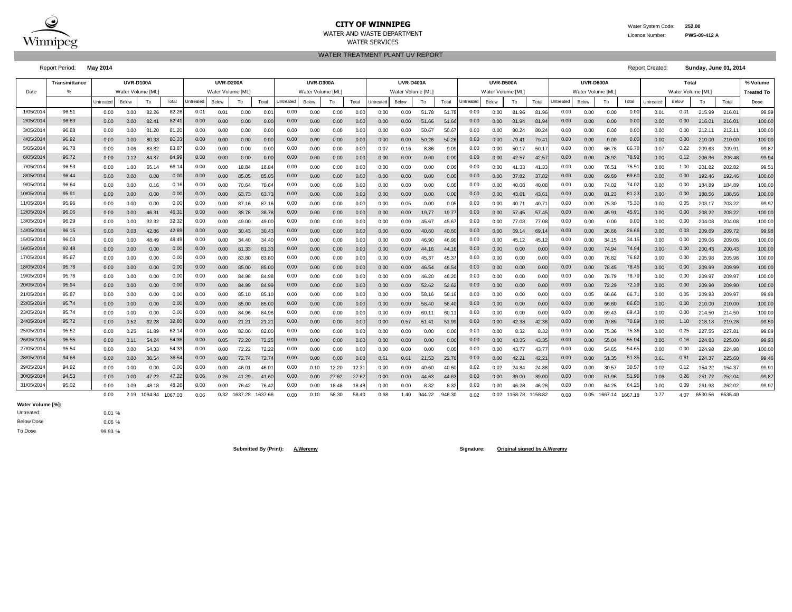

#### **CITY OF WINNIPEG** Water System Code: 252.00 WATER AND WASTE DEPARTMENT Licence Number: **PWS-09-412 A** WATER SERVICES

WATER TREATMENT PLANT UV REPORT

|            | <b>Report Period:</b> | <b>May 2014</b> |                   |         |         |           |                  |         |         |                  |                   |       |       |                                      |       |        |        |                   |       |                |                  |                   |       |         |         | <b>Report Created:</b> |                   | <b>Sunday, June 01, 2014</b> |         |        |
|------------|-----------------------|-----------------|-------------------|---------|---------|-----------|------------------|---------|---------|------------------|-------------------|-------|-------|--------------------------------------|-------|--------|--------|-------------------|-------|----------------|------------------|-------------------|-------|---------|---------|------------------------|-------------------|------------------------------|---------|--------|
|            | Transmittance         |                 | <b>UVR-D100A</b>  |         |         |           | <b>UVR-D200A</b> |         |         |                  | <b>UVR-D300A</b>  |       |       | <b>UVR-D400A</b><br><b>UVR-D500A</b> |       |        |        |                   |       |                | <b>UVR-D600A</b> |                   |       |         | Total   |                        |                   | % Volume                     |         |        |
| Date       | %                     |                 | Water Volume [ML] |         |         |           | Water Volume [ML |         |         |                  | Water Volume [ML] |       |       | Water Volume [ML]                    |       |        |        | Water Volume [ML  |       |                |                  | Water Volume [ML] |       |         |         | Water Volume [ML]      |                   | <b>Treated To</b>            |         |        |
|            |                       | Untreated       | Below             | To      | Total   | Jntreated | Below            | To      | Total   | <b>Jntreated</b> | Below             | To    | Total | Untreated                            | Below | To     | Total  | <b>Jntreater</b>  | Below | To             | Total            | Untreated         | Below | To      | Total   | Untreated              | Below             | To                           | Total   | Dose   |
| 1/05/201   | 96.51                 | 0.00            | 0.00              | 82.26   | 82.2    | 0.01      | 0.01             | 0.00    | 0.0     | 0.00             | 0.00              | 0.00  | 0.0   | 0.00                                 | 0.00  | 51.78  | 51.7   | 0.00              | 0.00  | 81.96          | 81.96            | 0.00              | 0.00  | 0.00    | 0.00    | 0.01                   | 0.01              | 215.99                       | 216.0   | 99.99  |
| 2/05/201   | 96.69                 | 0.00            | 0.00              | 82.41   | 82.4    | 0.00      | 0.00             | 0.00    | 0.00    | 0.00             | 0.00              | 0.00  | 0.00  | 0.00                                 | 0.00  | 51.66  | 51.6   | 0.00              | 0.00  | 81.94          | 81.9             | 0.00              | 0.00  | 0.00    | 0.00    | 0.00                   | 0.00              | 216.01                       | 216.0   | 100.00 |
| 3/05/2014  | 96.88                 | 0.00            | 0.00              | 81.20   | 81.20   | 0.00      | 0.00             | 0.00    | 0.00    | 0.00             | 0.00              | 0.00  | 0.00  | 0.00                                 | 0.00  | 50.67  | 50.6   | 0.00              | 0.00  | 80.24          | 80.24            | 0.00              | 0.00  | 0.00    | 0.00    | 0.00                   | 0.00              | 212.11                       | 212.1   | 100.00 |
| 4/05/2014  | 96.92                 | 0.00            | 0.00              | 80.33   | 80.33   | 0.00      | 0.00             | 0.00    | 0.00    | 0.00             | 0.00              | 0.00  | 0.00  | 0.00                                 | 0.00  | 50.26  | 50.20  | 0.00              | 0.00  | $79.4^{\circ}$ | 79.4             | 0.00              | 0.00  | 0.00    | 0.00    | 0.00                   | 0.00 <sub>1</sub> | 210.00                       | 210.00  | 100.00 |
| 5/05/2014  | 96.78                 | 0.00            | 0.06              | 83.82   | 83.87   | 0.00      | 0.00             | 0.00    | 0.00    | 0.00             | 0.00              | 0.00  | 0.00  | 0.07                                 | 0.16  | 8.86   | 9.09   | 0.00              | 0.00  | 50.1           | 50.1             | 0.00              | 0.00  | 66.78   | 66.7    | 0.07                   | 0.22              | 209.63                       | 209.9   | 99.87  |
| 6/05/2014  | 96.72                 | 0.00            | 0.12              | 84.87   | 84.99   | 0.00      | 0.00             | 0.00    | 0.00    | 0.00             | 0.00              | 0.00  | 0.00  | 0.00                                 | 0.00  | 0.00   | 0.00   | 0.00              | 0.00  | 42.57          | 42.57            | 0.00              | 0.00  | 78.92   | 78.92   | 0.00                   | 0.12              | 206.36                       | 206.48  | 99.94  |
| 7/05/2014  | 96.53                 | 0.00            | 1.00              | 65.14   | 66.1    | 0.00      | 0.00             | 18.84   | 18.84   | 0.00             | 0.00              | 0.00  | 0.0   | 0.00                                 | 0.00  | 0.00   | 0.01   | 0.00              | 0.00  | 41.33          | 41.33            | 0.00              | 0.00  | 76.51   | 76.5    | 0.00                   | 1.00              | 201.82                       | 202.82  | 99.51  |
| 8/05/2014  | 96.44                 | 0.00            | 0.00              | 0.00    | 0.00    | 0.00      | 0.00             | 85.05   | 85.05   | 0.00             | 0.00              | 0.00  | 0.00  | 0.00                                 | 0.00  | 0.00   | 0.00   | 0.00              | 0.00  | 37.82          | 37.82            | 0.00              | 0.00  | 69.60   | 69.6    | 0.00                   | 0.00              | 192.46                       | 192.46  | 100.00 |
| 9/05/2014  | 96.64                 | 0.00            | 0.00              | 0.16    | 0.1     | 0.00      | 0.00             | 70.64   | 70.64   | 0.00             | 0.00              | 0.00  | 0.0   | 0.00                                 | 0.00  | 0.00   | 0.00   | 0.00              | 0.00  | 40.08          | 40.08            | 0.00              | 0.00  | 74.02   | 74.0    | 0.00                   | 0.00              | 184.89                       | 184.89  | 100.00 |
| 10/05/2014 | 95.91                 | 0.00            | 0.00              | 0.00    | 0.00    | 0.00      | 0.00             | 63.73   | 63.73   | 0.00             | 0.00              | 0.00  | 0.00  | 0.00                                 | 0.00  | 0.00   | 0.00   | $0.00\,$          | 0.00  | 43.61          | 43.6             | 0.00              | 0.00  | 81.23   | 81.23   | 0.00                   | 0.00              | 188.56                       | 188.56  | 100.00 |
| 11/05/201  | 95.96                 | 0.00            | 0.00              | 0.00    | 0.00    | 0.00      | 0.00             | 87.16   | 87.1    | 0.00             | 0.00              | 0.00  | 0.00  | 0.00                                 | 0.05  | 0.00   | 0.05   | 0.00              | 0.00  | 40.71          | 40.7             | 0.00              | 0.00  | 75.30   | 75.3    | 0.00                   | 0.05              | 203.17                       | 203.22  | 99.97  |
| 12/05/201  | 96.06                 | 0.00            | 0.00              | 46.31   | 46.3    | 0.00      | 0.00             | 38.78   | 38.78   | 0.00             | 0.00              | 0.00  | 0.00  | 0.00                                 | 0.00  | 19.77  | 19.7   | 0.00              | 0.00  | 57.45          | 57.4             | 0.00              | 0.00  | 45.91   | 45.9    | 0.00                   | 0.00              | 208.22                       | 208.22  | 100.00 |
| 13/05/2014 | 96.29                 | 0.00            | 0.00              | 32.32   | 32.32   | 0.00      | 0.00             | 49.00   | 49.00   | 0.00             | 0.00              | 0.00  | 0.0   | 0.00                                 | 0.00  | 45.67  | 45.6   | 0.00              | 0.00  | 77.08          | 77.08            | 0.00              | 0.00  | 0.00    | 0.00    | 0.00                   | 0.00              | 204.08                       | 204.08  | 100.00 |
| 14/05/2014 | 96.15                 | 0.00            | 0.03              | 42.86   | 42.8    | 0.00      | 0.00             | 30.43   | 30.43   | 0.00             | 0.00              | 0.00  | 0.0   | 0.00                                 | 0.00  | 40.60  | 40.6   | 0.00              | 0.00  | 69.14          | 69.1             | 0.00              | 0.00  | 26.66   | 26.6    | 0.00                   | 0.03              | 209.69                       | 209.72  | 99.98  |
| 15/05/2014 | 96.03                 | 0.00            | 0.00              | 48.49   | 48.49   | 0.00      | 0.00             | 34.40   | 34.4    | 0.00             | 0.00              | 0.00  | 0.0   | 0.00                                 | 0.00  | 46.90  | 46.9   | 0.00              | 0.00  | 45.12          | 45.1             | 0.00              | 0.00  | 34.15   | 34.1    | 0.00                   | 0.00              | 209.06                       | 209.06  | 100.00 |
| 16/05/201  | 92.48                 | 0.00            | 0.00              | 0.00    | 0.00    | 0.00      | 0.00             | 81.33   | 81.33   | 0.00             | 0.00              | 0.00  | 0.0   | 0.00                                 | 0.00  | 44.16  | 44.1   | 0.00              | 0.00  | 0.00           | 0.00             | 0.00              | 0.00  | 74.94   | 74.9    | 0.00                   | 0.00 <sub>1</sub> | 200.43                       | 200.43  | 100.00 |
| 17/05/201  | 95.67                 | 0.00            | 0.00              | 0.00    | 0.0     | 0.00      | 0.00             | 83.80   | 83.8    | 0.00             | 0.00              | 0.00  | 0.0   | 0.00                                 | 0.00  | 45.37  | 45.3   | 0.00              | 0.00  | 0.00           | 0.00             | 0.00              | 0.00  | 76.82   | 76.8    | 0.00                   | 0.00              | 205.98                       | 205.98  | 100.00 |
| 18/05/201  | 95.76                 | 0.00            | 0.00              | 0.00    | 0.00    | 0.00      | 0.00             | 85.00   | 85.00   | 0.00             | 0.00              | 0.00  | 0.0   | 0.00                                 | 0.00  | 46.54  | 46.5   | 0.00 <sub>1</sub> | 0.00  | 0.00           | 0.00             | 0.00              | 0.00  | 78.45   | 78.4    | 0.00                   | 0.00 <sub>1</sub> | 209.99                       | 209.99  | 100.00 |
| 19/05/2014 | 95.76                 | 0.00            | 0.00              | 0.00    | 0.00    | 0.00      | 0.00             | 84.98   | 84.98   | 0.00             | 0.00              | 0.00  | 0.00  | 0.00                                 | 0.00  | 46.20  | 46.2   | 0.00              | 0.00  | 0.00           | 0.00             | 0.00              | 0.00  | 78.79   | 78.7    | 0.00                   | 0.00              | 209.97                       | 209.9   | 100.00 |
| 20/05/2014 | 95.94                 | 0.00            | 0.00              | 0.00    | 0.00    | 0.00      | 0.00             | 84.99   | 84.99   | 0.00             | 0.00              | 0.00  | 0.00  | 0.00                                 | 0.00  | 52.62  | 52.6   | $0.00\,$          | 0.00  | 0.00           | 0.00             | 0.00              | 0.00  | 72.29   | 72.29   | 0.00                   | 0.00 <sub>1</sub> | 209.90                       | 209.90  | 100.00 |
| 21/05/2014 | 95.87                 | 0.00            | 0.00              | 0.00    | 0.00    | 0.00      | 0.00             | 85.     | 85.1    | 0.00             | 0.00              | 0.00  | 0.00  | 0.00                                 | 0.00  | 58.16  | 58.1   | 0.00              | 0.00  | 0.00           | 0.00             | 0.00              | 0.05  | 66.66   | 66.7    | 0.00                   | 0.05              | 209.93                       | 209.9   | 99.98  |
| 22/05/2014 | 95.74                 | 0.00            | 0.00              | 0.00    | 0.00    | 0.00      | 0.00             | 85.00   | 85.00   | 0.00             | 0.00              | 0.00  | 0.00  | 0.00                                 | 0.00  | 58.40  | 58.4   | 0.00              | 0.00  | 0.00           | 0.00             | 0.00              | 0.00  | 66.60   | 66.6    | 0.00                   | 0.00 <sub>1</sub> | 210.00                       | 210.00  | 100.00 |
| 23/05/2014 | 95.74                 | 0.00            | 0.00              | 0.00    | 0.00    | 0.00      | 0.00             | 84.96   | 84.96   | 0.00             | 0.00              | 0.00  | 0.0   | 0.00                                 | 0.00  | 60.11  | 60.1   | 0.00              | 0.00  | 0.00           | 0.00             | 0.00              | 0.00  | 69.43   | 69.4    | 0.00                   | 0.00              | 214.50                       | 214.50  | 100.00 |
| 24/05/2014 | 95.72                 | 0.00            | 0.52              | 32.28   | 32.80   | 0.00      | 0.00             | 21.21   | 21.21   | 0.00             | 0.00              | 0.00  | 0.00  | 0.00                                 | 0.57  | 51.41  | 51.9   | 0.00              | 0.00  | 42.38          | 42.38            | 0.00              | 0.00  | 70.89   | 70.89   | 0.00                   | 1.10              | 218.18                       | 219.28  | 99.50  |
| 25/05/2014 | 95.52                 | 0.00            | 0.25              | 61.89   | 62.1    | 0.00      | 0.00             | 82.00   | 82.00   | 0.00             | 0.00              | 0.00  | 0.0   | 0.00                                 | 0.00  | 0.00   | 0.01   | 0.00              | 0.00  | 8.32           | 8.32             | 0.00              | 0.00  | 75.36   | 75.36   | 0.00                   | 0.25              | 227.55                       | 227.8   | 99.89  |
| 26/05/2014 | 95.55                 | 0.00            | 0.11              | 54.24   | 54.36   | 0.00      | 0.05             | 72.20   | 72.25   | 0.00             | 0.00              | 0.00  | 0.00  | 0.00                                 | 0.00  | 0.00   | 0.00   | 0.00              | 0.00  | 43.35          | 43.35            | 0.00              | 0.00  | 55.04   | 55.0    | 0.00                   | 0.16              | 224.83                       | 225.00  | 99.93  |
| 27/05/2014 | 95.54                 | 0.00            | 0.00              | 54.33   | 54.33   | 0.00      | 0.00             | 72.22   | 72.22   | 0.00             | 0.00              | 0.00  | 0.0   | 0.00                                 | 0.00  | 0.00   | 0.01   | 0.00              | 0.00  | 43.77          | 43.77            | 0.00              | 0.00  | 54.65   | 54.65   | 0.00                   | 0.00              | 224.98                       | 224.98  | 100.00 |
| 28/05/2014 | 94.68                 | 0.00            | 0.00              | 36.54   | 36.54   | 0.00      | 0.00             | 72.74   | 72.74   | 0.00             | 0.00              | 0.00  | 0.0   | 0.61                                 | 0.61  | 21.53  | 22.7   | 0.00              | 0.00  | 42.21          | 42.2             | 0.00              | 0.00  | 51.35   | 51.35   | 0.61                   | 0.61              | 224.37                       | 225.60  | 99.46  |
| 29/05/2014 | 94.92                 | 0.00            | 0.00              | 0.00    | 0.00    | 0.00      | 0.00             | 46.0    | 46.0    | 0.00             | 0.10              | 12.20 | 12.3  | 0.00                                 | 0.00  | 40.60  | 40.6   | 0.02              | 0.02  | 24.84          | 24.88            | 0.00              | 0.00  | 30.57   | 30.5    | 0.02                   | 0.12              | 154.22                       | 154.3   | 99.91  |
| 30/05/201  | 94.53                 | 0.00            | 0.00              | 47.22   | 47.22   | 0.06      | 0.26             | 41.29   | 41.60   | 0.00             | 0.00              | 27.62 | 27.6  | 0.00                                 | 0.00  | 44.63  | 44.6   | 0.00              | 0.00  | 39.00          | 39.00            | 0.00              | 0.00  | 51.96   | 51.9    | 0.06                   | 0.26              | 251.72                       | 252.0   | 99.87  |
| 31/05/2014 | 95.02                 | 0.00            | 0.09              | 48.18   | 48.26   | 0.00      | 0.00             | 76.42   | 76.42   | 0.00             | 0.00              | 18.48 | 18.4  | 0.00                                 | 0.00  | 8.32   | 8.32   | 0.00              | 0.00  | 46.28          | 46.28            | 0.00              | 0.00  | 64.25   | 64.2    | 0.00                   | 0.09              | 261.93                       | 262.02  | 99.97  |
|            |                       | 0.00            | 2.19              | 1064.84 | 1067.03 | 0.06      | 0.32             | 1637.28 | 1637.66 | 0.00             | 0.10              | 58.30 | 58.40 | 0.68                                 | 1.40  | 944.22 | 946.30 | 0.02              | 0.02  | 1158.78        | 1158.82          | 0.00              | 0.05  | 1667.14 | 1667.18 | 0.77                   | 4.07              | 6530.56                      | 6535.40 |        |

**Water Volume [%]:**

Below Dose Untreated:

0.01 % 0.06 % 99.93 %

To Dose

**Submitted By (Print): A.Weremy Signature: Original signed by A.Weremy**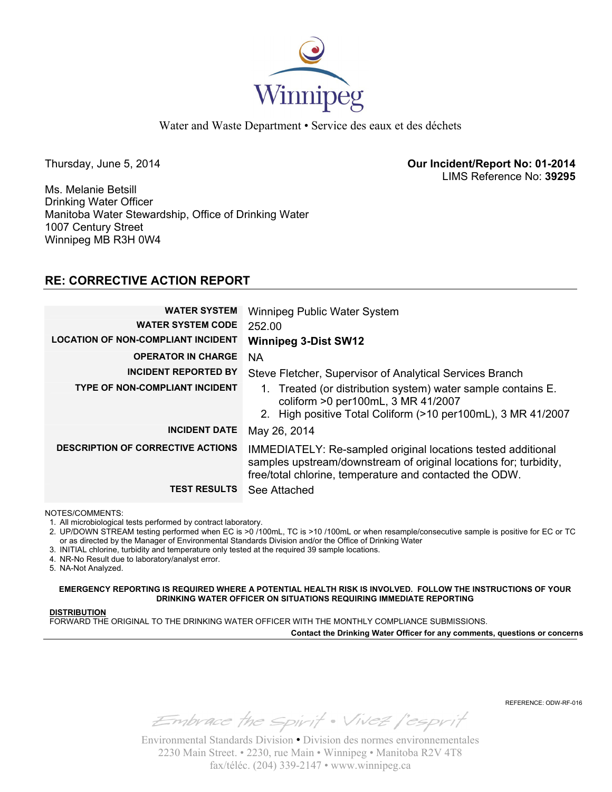

Water and Waste Department • Service des eaux et des déchets

Thursday, June 5, 2014 **Our Incident/Report No: 01-2014**  LIMS Reference No: **39295**

Ms. Melanie Betsill Drinking Water Officer Manitoba Water Stewardship, Office of Drinking Water 1007 Century Street Winnipeg MB R3H 0W4

# **RE: CORRECTIVE ACTION REPORT**

| <b>WATER SYSTEM</b><br><b>WATER SYSTEM CODE</b><br><b>LOCATION OF NON-COMPLIANT INCIDENT</b><br><b>OPERATOR IN CHARGE</b> | Winnipeg Public Water System<br>252.00<br><b>Winnipeg 3-Dist SW12</b><br>NA                                                                                                                  |
|---------------------------------------------------------------------------------------------------------------------------|----------------------------------------------------------------------------------------------------------------------------------------------------------------------------------------------|
| <b>INCIDENT REPORTED BY</b>                                                                                               |                                                                                                                                                                                              |
|                                                                                                                           | Steve Fletcher, Supervisor of Analytical Services Branch                                                                                                                                     |
| <b>TYPE OF NON-COMPLIANT INCIDENT</b>                                                                                     | 1. Treated (or distribution system) water sample contains E.<br>coliform >0 per100mL, 3 MR 41/2007<br>2. High positive Total Coliform (>10 per100mL), 3 MR 41/2007                           |
| <b>INCIDENT DATE</b>                                                                                                      | May 26, 2014                                                                                                                                                                                 |
| <b>DESCRIPTION OF CORRECTIVE ACTIONS</b>                                                                                  | IMMEDIATELY: Re-sampled original locations tested additional<br>samples upstream/downstream of original locations for; turbidity,<br>free/total chlorine, temperature and contacted the ODW. |
| <b>TEST RESULTS</b>                                                                                                       | See Attached                                                                                                                                                                                 |

NOTES/COMMENTS:

1. All microbiological tests performed by contract laboratory.

2. UP/DOWN STREAM testing performed when EC is >0 /100mL, TC is >10 /100mL or when resample/consecutive sample is positive for EC or TC or as directed by the Manager of Environmental Standards Division and/or the Office of Drinking Water

3. INITIAL chlorine, turbidity and temperature only tested at the required 39 sample locations.

4. NR-No Result due to laboratory/analyst error.

5. NA-Not Analyzed.

**EMERGENCY REPORTING IS REQUIRED WHERE A POTENTIAL HEALTH RISK IS INVOLVED. FOLLOW THE INSTRUCTIONS OF YOUR DRINKING WATER OFFICER ON SITUATIONS REQUIRING IMMEDIATE REPORTING**

#### **DISTRIBUTION**

FORWARD THE ORIGINAL TO THE DRINKING WATER OFFICER WITH THE MONTHLY COMPLIANCE SUBMISSIONS.

**Contact the Drinking Water Officer for any comments, questions or concerns**

Embrace the spirit . Vivez l'esprit

REFERENCE: ODW-RF-016

Environmental Standards Division • Division des normes environnementales 2230 Main Street. • 2230, rue Main • Winnipeg • Manitoba R2V 4T8 fax/téléc. (204) 339-2147 • www.winnipeg.ca